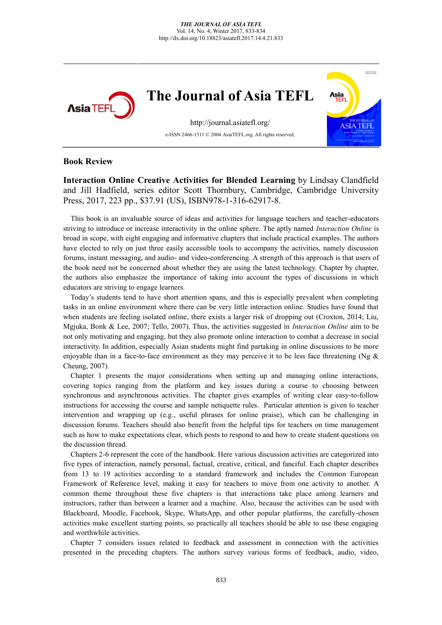

## **Book Review**

**Interaction Online Creative Activities for Blended Learning** by Lindsay Clandfield and Jill Hadfield, series editor Scott Thornbury, Cambridge, Cambridge University Press, 2017, 223 pp., \$37.91 (US), ISBN978-1-316-62917-8.

This book is an invaluable source of ideas and activities for language teachers and teacher-educators striving to introduce or increase interactivity in the online sphere. The aptly named *Interaction Online* is broad in scope, with eight engaging and informative chapters that include practical examples. The authors have elected to rely on just three easily accessible tools to accompany the activities, namely discussion forums, instant messaging, and audio- and video-conferencing. A strength of this approach is that users of the book need not be concerned about whether they are using the latest technology. Chapter by chapter, the authors also emphasize the importance of taking into account the types of discussions in which educators are striving to engage learners.

Today's students tend to have short attention spans, and this is especially prevalent when completing tasks in an online environment where there can be very little interaction online. Studies have found that when students are feeling isolated online, there exists a larger risk of dropping out (Croxton, 2014; Liu, Mgjuka, Bonk & Lee, 2007; Tello, 2007). Thus, the activities suggested in *Interaction Online* aim to be not only motivating and engaging, but they also promote online interaction to combat a decrease in social interactivity. In addition, especially Asian students might find partaking in online discussions to be more enjoyable than in a face-to-face environment as they may perceive it to be less face threatening (Ng  $\&$ Cheung, 2007).

Chapter 1 presents the major considerations when setting up and managing online interactions, covering topics ranging from the platform and key issues during a course to choosing between synchronous and asynchronous activities. The chapter gives examples of writing clear easy-to-follow instructions for accessing the course and sample netiquette rules. Particular attention is given to teacher intervention and wrapping up (e.g., useful phrases for online praise), which can be challenging in discussion forums. Teachers should also benefit from the helpful tips for teachers on time management such as how to make expectations clear, which posts to respond to and how to create student questions on the discussion thread.

Chapters 2-6 represent the core of the handbook. Here various discussion activities are categorized into five types of interaction, namely personal, factual, creative, critical, and fanciful. Each chapter describes from 13 to 19 activities according to a standard framework and includes the Common European Framework of Reference level, making it easy for teachers to move from one activity to another. A common theme throughout these five chapters is that interactions take place among learners and instructors, rather than between a learner and a machine. Also, because the activities can be used with Blackboard, Moodle, Facebook, Skype, WhatsApp, and other popular platforms, the carefully-chosen activities make excellent starting points, so practically all teachers should be able to use these engaging and worthwhile activities.

Chapter 7 considers issues related to feedback and assessment in connection with the activities presented in the preceding chapters. The authors survey various forms of feedback, audio, video,